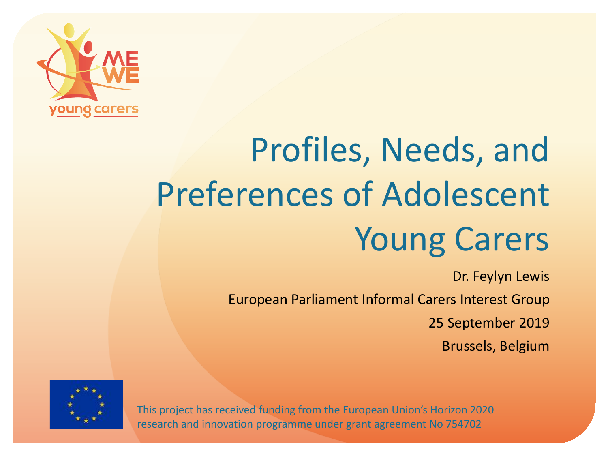

# Profiles, Needs, and Preferences of Adolescent Young Carers

Dr. Feylyn Lewis European Parliament Informal Carers Interest Group 25 September 2019 Brussels, Belgium



This project has received funding from the European Union's Horizon 2020 research and innovation programme under grant agreement No 754702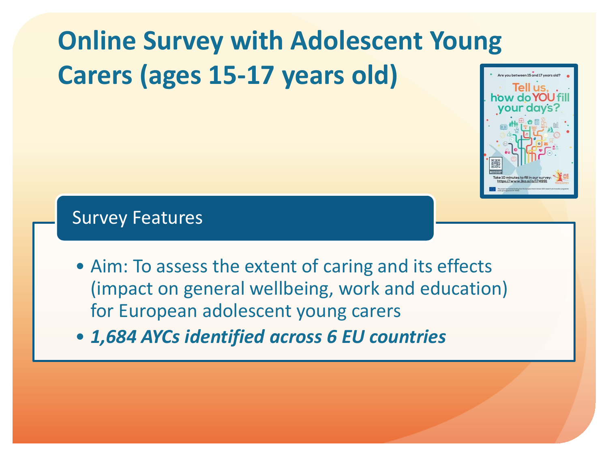## **Online Survey with Adolescent Young Carers (ages 15-17 years old)**



#### Survey Features

- Aim: To assess the extent of caring and its effects (impact on general wellbeing, work and education) for European adolescent young carers
- *1,684 AYCs identified across 6 EU countries*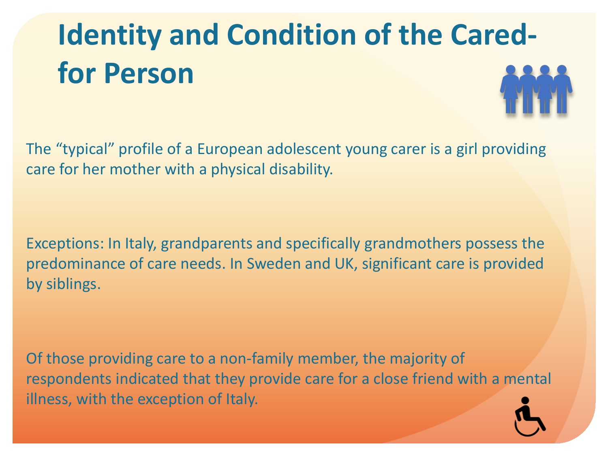# **Identity and Condition of the Caredfor Person**

The "typical" profile of a European adolescent young carer is a girl providing care for her mother with a physical disability.

Exceptions: In Italy, grandparents and specifically grandmothers possess the predominance of care needs. In Sweden and UK, significant care is provided by siblings.

Of those providing care to a non-family member, the majority of respondents indicated that they provide care for a close friend with a mental illness, with the exception of Italy.

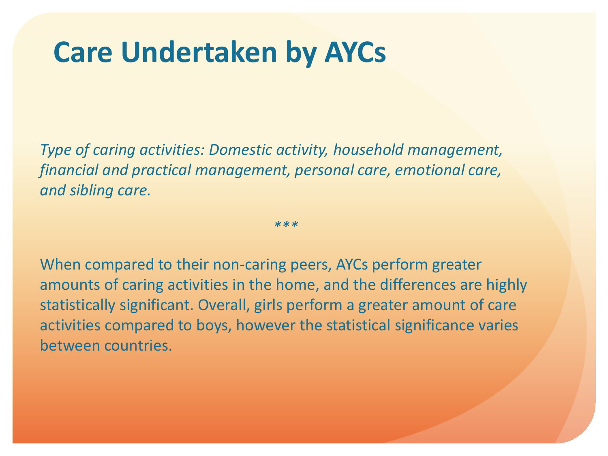### **Care Undertaken by AYCs**

*Type of caring activities: Domestic activity, household management, financial and practical management, personal care, emotional care, and sibling care.* 

*\*\*\**

When compared to their non-caring peers, AYCs perform greater amounts of caring activities in the home, and the differences are highly statistically significant. Overall, girls perform a greater amount of care activities compared to boys, however the statistical significance varies between countries.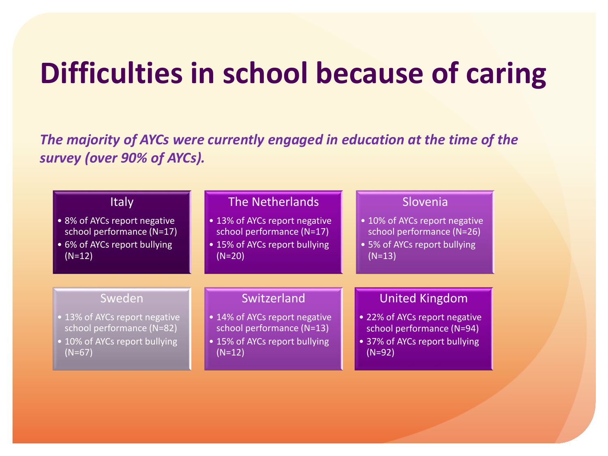## **Difficulties in school because of caring**

*The majority of AYCs were currently engaged in education at the time of the survey (over 90% of AYCs).*

| <b>Italy</b>                  | <b>The Netherlands</b>        | Slovenia                      |
|-------------------------------|-------------------------------|-------------------------------|
| • 8% of AYCs report negative  | • 13% of AYCs report negative | • 10% of AYCs report negative |
| school performance (N=17)     | school performance (N=17)     | school performance (N=26)     |
| • 6% of AYCs report bullying  | • 15% of AYCs report bullying | • 5% of AYCs report bullying  |
| $(N=12)$                      | $(N=20)$                      | $(N=13)$                      |
| Sweden                        | Switzerland                   | <b>United Kingdom</b>         |
| • 13% of AYCs report negative | • 14% of AYCs report negative | • 22% of AYCs report negative |
| school performance (N=82)     | school performance (N=13)     | school performance (N=94)     |
| • 10% of AYCs report bullying | • 15% of AYCs report bullying | • 37% of AYCs report bullying |
| $(N=67)$                      | $(N=12)$                      | $(N=92)$                      |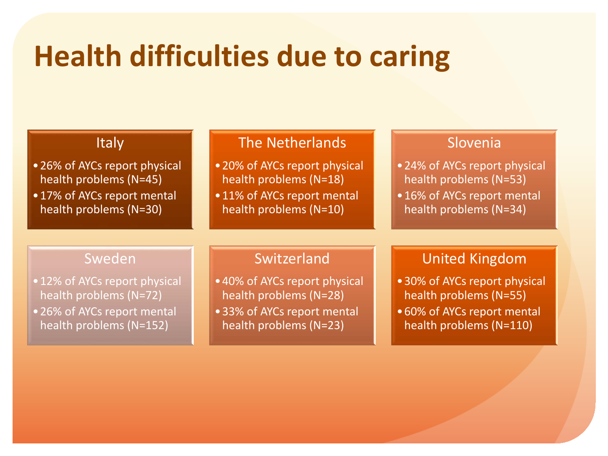## **Health difficulties due to caring**

#### **Italy**

- •26% of AYCs report physical health problems (N=45)
- •17% of AYCs report mental health problems (N=30)

#### The Netherlands

- •20% of AYCs report physical health problems (N=18)
- 11% of AYCs report mental health problems (N=10)

#### Slovenia

- •24% of AYCs report physical health problems (N=53)
- •16% of AYCs report mental health problems (N=34)

#### Sweden

- 12% of AYCs report physical health problems (N=72)
- •26% of AYCs report mental health problems (N=152)

#### Switzerland

- •40% of AYCs report physical health problems (N=28)
- •33% of AYCs report mental health problems (N=23)

#### United Kingdom

- •30% of AYCs report physical health problems (N=55)
- •60% of AYCs report mental health problems (N=110)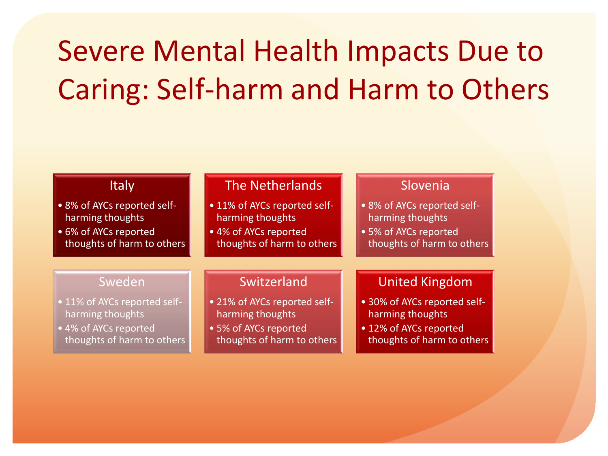# Severe Mental Health Impacts Due to Caring: Self-harm and Harm to Others

| <b>Italy</b>                 | <b>The Netherlands</b>       | Slovenia                     |
|------------------------------|------------------------------|------------------------------|
| • 8% of AYCs reported self-  | • 11% of AYCs reported self- | .8% of AYCs reported self-   |
| harming thoughts             | harming thoughts             | harming thoughts             |
| • 6% of AYCs reported        | • 4% of AYCs reported        | • 5% of AYCs reported        |
| thoughts of harm to others   | thoughts of harm to others   | thoughts of harm to others   |
| Sweden                       | Switzerland                  | <b>United Kingdom</b>        |
| • 11% of AYCs reported self- | • 21% of AYCs reported self- | • 30% of AYCs reported self- |
| harming thoughts             | harming thoughts             | harming thoughts             |
| • 4% of AYCs reported        | • 5% of AYCs reported        | • 12% of AYCs reported       |
| thoughts of harm to others   | thoughts of harm to others   | thoughts of harm to others   |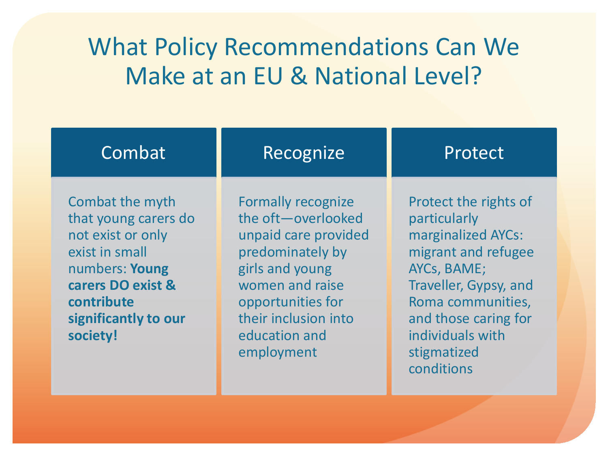### What Policy Recommendations Can We Make at an EU & National Level?

| Combat                                                                                                                                                                  | Recognize                                                                                                                                                                                                     | Protect                                                                                                                                                                                                                  |
|-------------------------------------------------------------------------------------------------------------------------------------------------------------------------|---------------------------------------------------------------------------------------------------------------------------------------------------------------------------------------------------------------|--------------------------------------------------------------------------------------------------------------------------------------------------------------------------------------------------------------------------|
| Combat the myth<br>that young carers do<br>not exist or only<br>exist in small<br>numbers: Young<br>carers DO exist &<br>contribute<br>significantly to our<br>society! | <b>Formally recognize</b><br>the oft-overlooked<br>unpaid care provided<br>predominately by<br>girls and young<br>women and raise<br>opportunities for<br>their inclusion into<br>education and<br>employment | Protect the rights of<br>particularly<br>marginalized AYCs:<br>migrant and refugee<br>AYCs, BAME;<br>Traveller, Gypsy, and<br>Roma communities,<br>and those caring for<br>individuals with<br>stigmatized<br>conditions |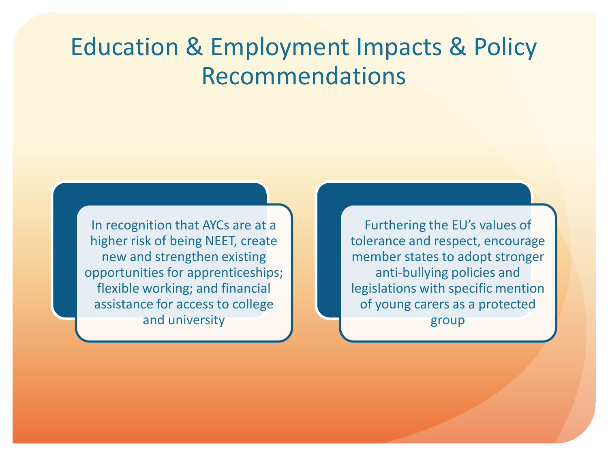### Education & Employment Impacts & Policy Recommendations

In recognition that AYCs are at a higher risk of being NEET, create new and strengthen existing opportunities for apprenticeships; flexible working; and financial assistance for access to college and university

Furthering the EU's values of tolerance and respect, encourage member states to adopt stronger anti-bullying policies and legislations with specific mention of young carers as a protected group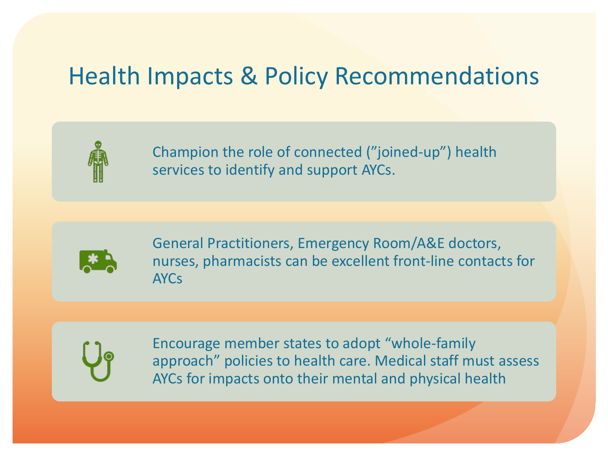### Health Impacts & Policy Recommendations



Champion the role of connected ("joined-up") health services to identify and support AYCs.



General Practitioners, Emergency Room/A&E doctors, nurses, pharmacists can be excellent front-line contacts for AYCs



Encourage member states to adopt "whole-family approach" policies to health care. Medical staff must assess AYCs for impacts onto their mental and physical health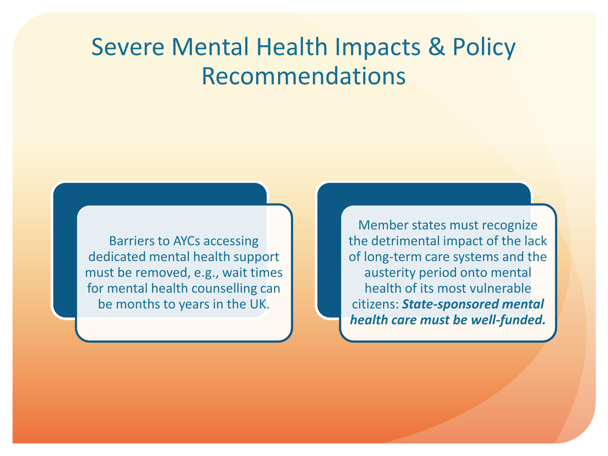### Severe Mental Health Impacts & Policy Recommendations

Barriers to AYCs accessing dedicated mental health support must be removed, e.g., wait times for mental health counselling can be months to years in the UK.

Member states must recognize the detrimental impact of the lack of long-term care systems and the austerity period onto mental health of its most vulnerable citizens: *State-sponsored mental health care must be well-funded.*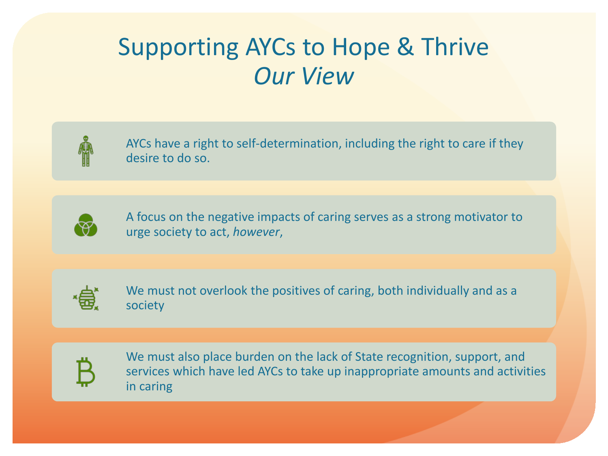### Supporting AYCs to Hope & Thrive *Our View*



AYCs have a right to self-determination, including the right to care if they desire to do so.



A focus on the negative impacts of caring serves as a strong motivator to urge society to act, *however*,



We must not overlook the positives of caring, both individually and as a society



We must also place burden on the lack of State recognition, support, and services which have led AYCs to take up inappropriate amounts and activities in caring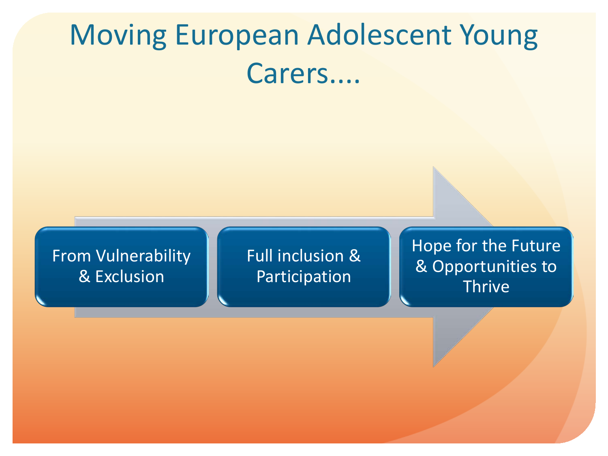# Moving European Adolescent Young Carers....

#### From Vulnerability & Exclusion

Full inclusion & Participation

Hope for the Future & Opportunities to **Thrive**